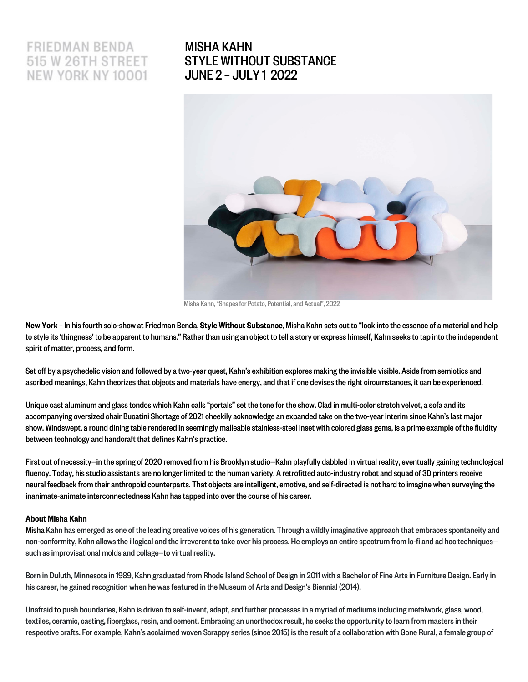# **FRIEDMAN BENDA** 515 W 26TH STREET NEW YORK NY 10001

# MISHA KAHN [STYLE WITHOUT SUBSTANCE](https://www.friedmanbenda.com/exhibitions/misha-kahn-style-without-substance/) JUNE 2 – JULY 1 2022



Misha Kahn, "Shapes for Potato, Potential, and Actual", 2022

New York - In his fourth solo-show at Friedman Benda, Style Without Substance, Misha Kahn sets out to "look into the essence of a material and help to style its 'thingness' to be apparent to humans." Rather than using an object to tell a story or express himself, Kahn seeks to tap into the independent spirit of matter, process, and form.

Set off by a psychedelic vision and followed by a two-year quest, Kahn's exhibition explores making the invisible visible. Aside from semiotics and ascribed meanings, Kahn theorizes that objects and materials have energy, and that if one devises the right circumstances, it can be experienced.

Unique cast aluminum and glass tondos which Kahn calls "portals" set the tone for the show. Clad in multi-color stretch velvet, a sofa and its accompanying oversized chair Bucatini Shortage of 2021 cheekily acknowledge an expanded take on the two-year interim since Kahn's last major show.Windswept, a round dining table rendered in seemingly malleable stainless-steel inset with colored glass gems, is a prime example of the fluidity between technology and handcraft that defines Kahn's practice.

First out of necessity—in the spring of 2020 removed from his Brooklyn studio—Kahn playfully dabbled in virtual reality, eventually gaining technological fluency. Today, his studio assistants are no longer limited to the human variety. A retrofitted auto-industry robot and squad of 3D printers receive neural feedback from their anthropoid counterparts. That objects are intelligent, emotive, and self-directed is not hard to imagine when surveying the inanimate-animate interconnectedness Kahn has tapped into over the course of his career.

### [About Misha Kahn](https://www.friedmanbenda.com/artists/misha-kahn/)

Misha Kahn has emerged as one of the leading creative voices of his generation. Through a wildly imaginative approach that embraces spontaneity and non-conformity, Kahn allows the illogical and the irreverent to take over his process. He employs an entire spectrum from lo-fi and ad hoc techniques such as improvisational molds and collage—to virtual reality.

Born in Duluth, Minnesota in 1989, Kahn graduated from Rhode Island School of Design in 2011 with a Bachelor of Fine Arts in Furniture Design. Early in his career, he gained recognition when he was featured in the Museum of Arts and Design's Biennial (2014).

Unafraid to push boundaries, Kahn is driven to self-invent, adapt, and further processes in a myriad of mediums including metalwork, glass, wood, textiles, ceramic, casting, fiberglass, resin, and cement. Embracing an unorthodox result, he seeks the opportunityto learn from masters in their respective crafts. For example, Kahn's acclaimed woven Scrappy series (since 2015) is the result of a collaboration with Gone Rural, a female group of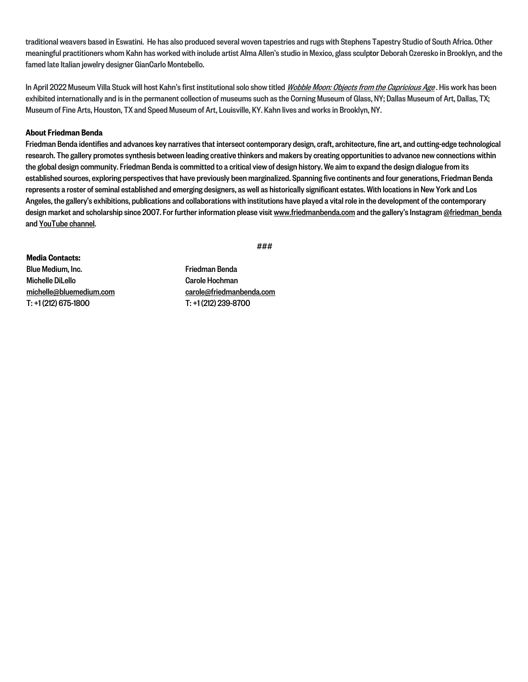traditional weavers based in Eswatini. He has also produced several woven tapestries and rugs with Stephens Tapestry Studio of South Africa. Other meaningful practitioners whom Kahn has worked with include artist Alma Allen's studio in Mexico, glass sculptor Deborah Czeresko in Brooklyn, and the famed late Italian jewelry designer GianCarlo Montebello.

In April 2022 Museum Villa Stuck will host Kahn's first institutional solo show titled [Wobble Moon: Objects from the Capricious Age](https://www.friedmanbenda.com/exhibitions/misha-kahn-under-the-wobble-moon-objects-from-the-capricious-age/). His work has been exhibited internationally and is in the permanent collection of museums such as the Corning Museum of Glass, NY; Dallas Museum of Art, Dallas, TX; Museum of Fine Arts, Houston, TX and Speed Museum of Art, Louisville, KY. Kahn lives and works in Brooklyn, NY.

### About Friedman Benda

Friedman Benda identifies and advances key narratives that intersect contemporary design, craft, architecture, fine art, and cutting-edge technological research. The gallery promotes synthesis between leading creative thinkers and makers by creating opportunities to advance new connections within the global design community. Friedman Benda is committed to a critical view of design history. We aim to expand the design dialogue from its established sources, exploring perspectives that have previously been marginalized. Spanning five continents and four generations, Friedman Benda represents a roster of seminal established and emerging designers, as well as historically significant estates. With locations in New York and Los Angeles, the gallery's exhibitions, publications and collaborations with institutions have played a vital role in the development of the contemporary design market and scholarship since 2007. For further information please visit www.friedmanbenda.com and the gallery's Instagram @friedman\_benda and [YouTube channel.](https://www.youtube.com/c/FriedmanBenda/videos)

###

Media Contacts: Blue Medium, Inc. Michelle DiLello michelle@bluemedium.com T: +1 (212) 675-1800

Friedman Benda Carole Hochman carole@friedmanbenda.com T: +1 (212) 239-8700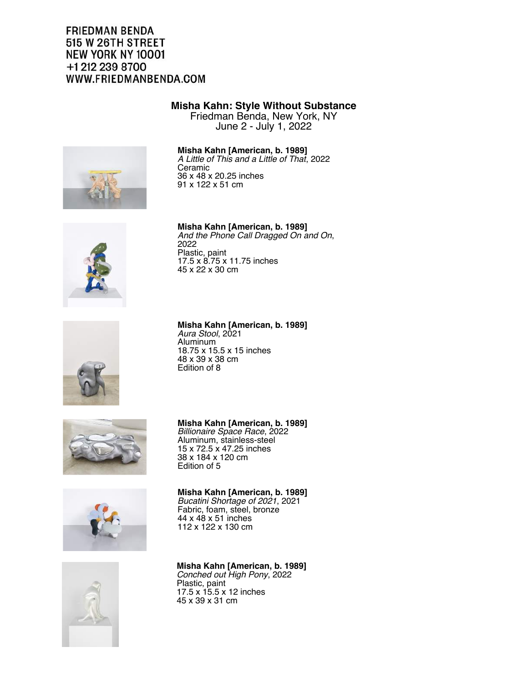# **FRIEDMAN BENDA** 515 W 26TH STREET NEW YORK NY 10001 +1 212 239 8700 WWW.FRIEDMANBENDA.COM

# **Misha Kahn: Style Without Substance**

Friedman Benda, New York, NY June 2 - July 1, 2022

# **Misha Kahn [American, b. 1989]**

*A Little of This and a Little of That*, 2022 Ceramic 36 x 48 x 20.25 inches 91 x 122 x 51 cm





**Misha Kahn [American, b. 1989]** *Aura Stool*, 2021

Aluminum 18.75 x 15.5 x 15 inches 48 x 39 x 38 cm Edition of 8



#### **Misha Kahn [American, b. 1989]** *Bucatini Shortage of 2021*, 2021 Fabric, foam, steel, bronze 44 x 48 x 51 inches 112 x 122 x 130 cm

**Misha Kahn [American, b. 1989]** *Billionaire Space Race*, 2022 Aluminum, stainless-steel 15 x 72.5 x 47.25 inches 38 x 184 x 120 cm Edition of 5

**Misha Kahn [American, b. 1989]** *Conched out High Pony*, 2022 Plastic, paint 17.5 x 15.5 x 12 inches 45 x 39 x 31 cm

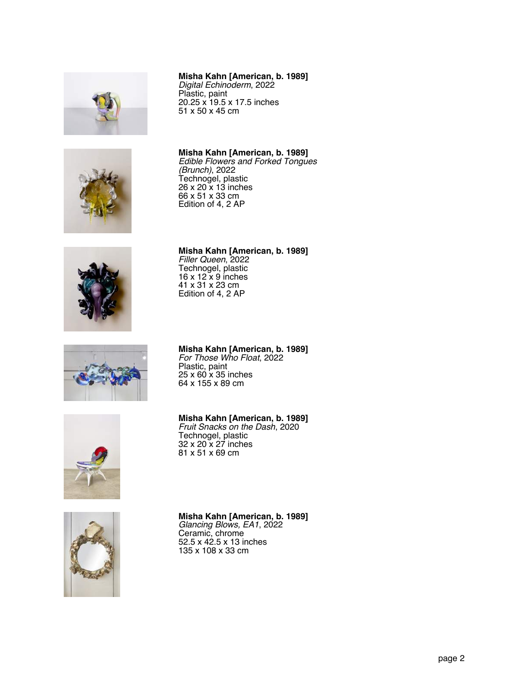







### **Misha Kahn [American, b. 1989]**

*Digital Echinoderm*, 2022 Plastic, paint 20.25 x 19.5 x 17.5 inches 51 x 50 x 45 cm

**Misha Kahn [American, b. 1989]** *Edible Flowers and Forked Tongues (Brunch)*, 2022 Technogel, plastic 26 x 20 x 13 inches 66 x 51 x 33 cm Edition of 4, 2 AP

**Misha Kahn [American, b. 1989]** *Filler Queen*, 2022 Technogel, plastic 16 x 12 x 9 inches 41 x 31 x 23 cm Edition of 4, 2 AP

# **Misha Kahn [American, b. 1989]**

*For Those Who Float*, 2022 Plastic, paint 25 x 60 x 35 inches 64 x 155 x 89 cm



## **Misha Kahn [American, b. 1989]**

*Fruit Snacks on the Dash*, 2020 Technogel, plastic 32 x 20 x 27 inches 81 x 51 x 69 cm



# **Misha Kahn [American, b. 1989]**

*Glancing Blows, EA1*, 2022 Ceramic, chrome 52.5 x 42.5 x 13 inches 135 x 108 x 33 cm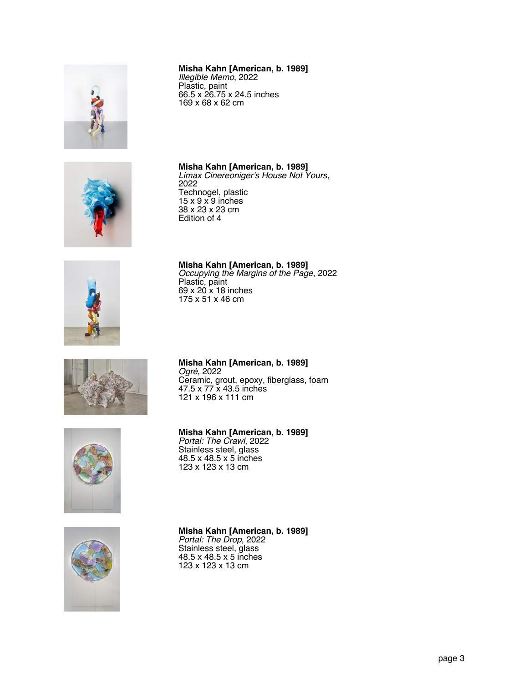

#### **Misha Kahn [American, b. 1989]** *Illegible Memo*, 2022 Plastic, paint 66.5 x 26.75 x 24.5 inches 169 x 68 x 62 cm

**Misha Kahn [American, b. 1989]** *Limax Cinereoniger's House Not Yours*,

2022

Technogel, plastic 15 x 9 x 9 inches 38 x 23 x 23 cm Edition of 4





**Misha Kahn [American, b. 1989]** *Occupying the Margins of the Page*, 2022 Plastic, paint 69 x 20 x 18 inches 175 x 51 x 46 cm

**Misha Kahn [American, b. 1989]** *Ogré*, 2022 Ceramic, grout, epoxy, fiberglass, foam 47.5 x 77 x 43.5 inches 121 x 196 x 111 cm





48.5 x 48.5 x 5 inches 123 x 123 x 13 cm

**Misha Kahn [American, b. 1989]**

*Portal: The Crawl*, 2022 Stainless steel, glass

**Misha Kahn [American, b. 1989]** *Portal: The Drop*, 2022 Stainless steel, glass 48.5 x 48.5 x 5 inches 123 x 123 x 13 cm